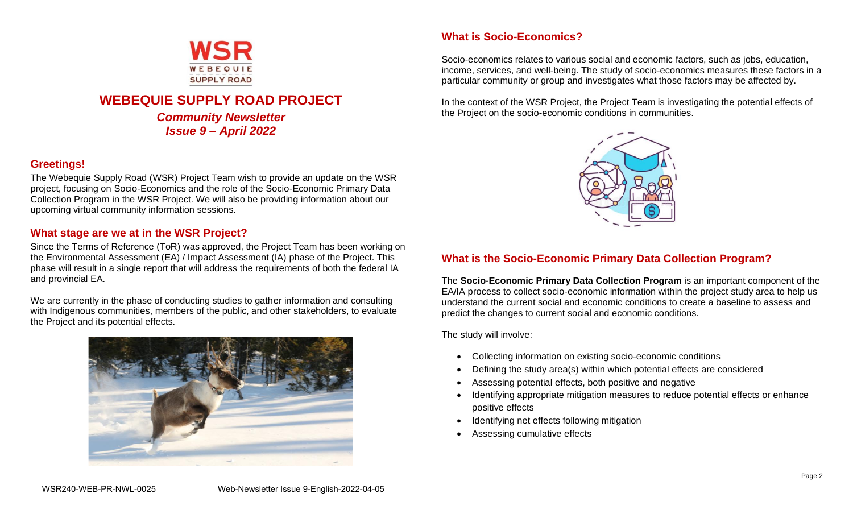

# **WEBEQUIE SUPPLY ROAD PROJECT**

*Community Newsletter Issue 9 – April 2022*

# **Greetings!**

The Webequie Supply Road (WSR) Project Team wish to provide an update on the WSR project, focusing on Socio-Economics and the role of the Socio-Economic Primary Data Collection Program in the WSR Project. We will also be providing information about our upcoming virtual community information sessions.

## **What stage are we at in the WSR Project?**

Since the Terms of Reference (ToR) was approved, the Project Team has been working on the Environmental Assessment (EA) / Impact Assessment (IA) phase of the Project. This phase will result in a single report that will address the requirements of both the federal IA and provincial EA.

We are currently in the phase of conducting studies to gather information and consulting with Indigenous communities, members of the public, and other stakeholders, to evaluate the Project and its potential effects.



## **What is Socio-Economics?**

Socio-economics relates to various social and economic factors, such as jobs, education, income, services, and well-being. The study of socio-economics measures these factors in a particular community or group and investigates what those factors may be affected by.

In the context of the WSR Project, the Project Team is investigating the potential effects of the Project on the socio-economic conditions in communities.



## **What is the Socio-Economic Primary Data Collection Program?**

The **Socio-Economic Primary Data Collection Program** is an important component of the EA/IA process to collect socio-economic information within the project study area to help us understand the current social and economic conditions to create a baseline to assess and predict the changes to current social and economic conditions.

The study will involve:

- Collecting information on existing socio-economic conditions
- Defining the study area(s) within which potential effects are considered
- Assessing potential effects, both positive and negative
- Identifying appropriate mitigation measures to reduce potential effects or enhance positive effects
- Identifying net effects following mitigation
- Assessing cumulative effects